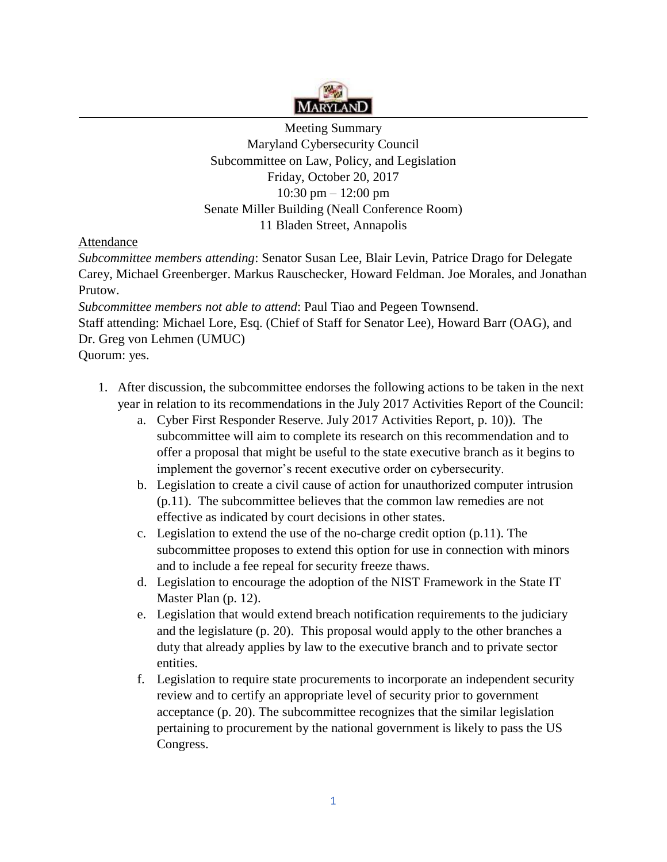

Meeting Summary Maryland Cybersecurity Council Subcommittee on Law, Policy, and Legislation Friday, October 20, 2017 10:30 pm – 12:00 pm Senate Miller Building (Neall Conference Room) 11 Bladen Street, Annapolis

Attendance

*Subcommittee members attending*: Senator Susan Lee, Blair Levin, Patrice Drago for Delegate Carey, Michael Greenberger. Markus Rauschecker, Howard Feldman. Joe Morales, and Jonathan Prutow.

*Subcommittee members not able to attend*: Paul Tiao and Pegeen Townsend. Staff attending: Michael Lore, Esq. (Chief of Staff for Senator Lee), Howard Barr (OAG), and Dr. Greg von Lehmen (UMUC) Quorum: yes.

- 1. After discussion, the subcommittee endorses the following actions to be taken in the next year in relation to its recommendations in the July 2017 Activities Report of the Council:
	- a. Cyber First Responder Reserve. July 2017 Activities Report, p. 10)). The subcommittee will aim to complete its research on this recommendation and to offer a proposal that might be useful to the state executive branch as it begins to implement the governor's recent executive order on cybersecurity.
	- b. Legislation to create a civil cause of action for unauthorized computer intrusion (p.11). The subcommittee believes that the common law remedies are not effective as indicated by court decisions in other states.
	- c. Legislation to extend the use of the no-charge credit option (p.11). The subcommittee proposes to extend this option for use in connection with minors and to include a fee repeal for security freeze thaws.
	- d. Legislation to encourage the adoption of the NIST Framework in the State IT Master Plan (p. 12).
	- e. Legislation that would extend breach notification requirements to the judiciary and the legislature (p. 20). This proposal would apply to the other branches a duty that already applies by law to the executive branch and to private sector entities.
	- f. Legislation to require state procurements to incorporate an independent security review and to certify an appropriate level of security prior to government acceptance (p. 20). The subcommittee recognizes that the similar legislation pertaining to procurement by the national government is likely to pass the US Congress.